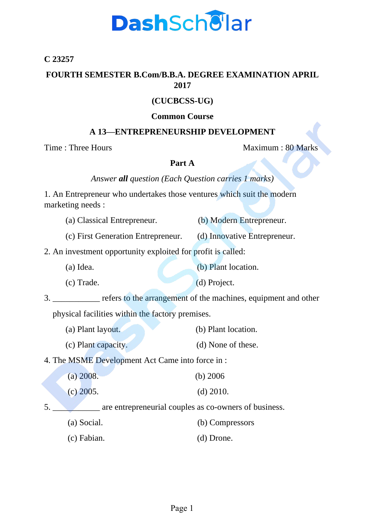# **DashScholar**

### **C 23257**

#### **FOURTH SEMESTER B.Com/B.B.A. DEGREE EXAMINATION APRIL 2017**

### **(CUCBCSS-UG)**

#### **Common Course**

## **A 13—ENTREPRENEURSHIP DEVELOPMENT**

Time : Three Hours Maximum : 80 Marks

#### **Part A**

*Answer all question (Each Question carries 1 marks)*

1. An Entrepreneur who undertakes those ventures which suit the modern marketing needs :

| (a) Classical Entrepreneur. |  |  |  | (b) Modern Entrepreneur. |
|-----------------------------|--|--|--|--------------------------|
|-----------------------------|--|--|--|--------------------------|

(c) First Generation Entrepreneur. (d) Innovative Entrepreneur.

2. An investment opportunity exploited for profit is called:

(a) Idea. (b) Plant location.

(c) Trade. (d) Project.

3. \_\_\_\_\_\_\_\_\_\_\_ refers to the arrangement of the machines, equipment and other

physical facilities within the factory premises.

(a) Plant layout. (b) Plant location. (c) Plant capacity. (d) None of these.

4. The MSME Development Act Came into force in :

| $(a)$ 2008. | (b) $2006$  |  |  |
|-------------|-------------|--|--|
| $(c)$ 2005. | $(d)$ 2010. |  |  |

5. **Example 3.** are entrepreneurial couples as co-owners of business.

- (a) Social. (b) Compressors
- (c) Fabian. (d) Drone.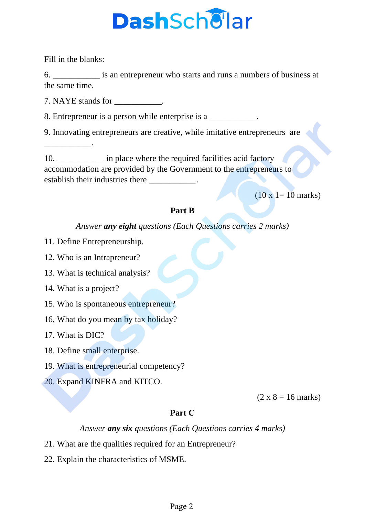# **DashScholar**

Fill in the blanks:

\_\_\_\_\_\_\_\_\_\_\_.

6. \_\_\_\_\_\_\_\_\_\_\_ is an entrepreneur who starts and runs a numbers of business at the same time.

7. NAYE stands for  $\blacksquare$ .

8. Entrepreneur is a person while enterprise is a \_\_\_\_\_\_\_\_\_\_\_.

9. Innovating entrepreneurs are creative, while imitative entrepreneurs are

10. \_\_\_\_\_\_\_\_\_\_\_\_\_ in place where the required facilities acid factory accommodation are provided by the Government to the entrepreneurs to establish their industries there

 $(10 \times 1 = 10 \text{ marks})$ 

## **Part B**

*Answer any eight questions (Each Questions carries 2 marks)*

- 11. Define Entrepreneurship.
- 12. Who is an Intrapreneur?
- 13. What is technical analysis?
- 14. What is a project?
- 15. Who is spontaneous entrepreneur?
- 16, What do you mean by tax holiday?
- 17. What is DIC?
- 18. Define small enterprise.
- 19. What is entrepreneurial competency?
- 20. Expand KINFRA and KITCO.

 $(2 \times 8 = 16 \text{ marks})$ 

## **Part C**

*Answer any six questions (Each Questions carries 4 marks)*

- 21. What are the qualities required for an Entrepreneur?
- 22. Explain the characteristics of MSME.